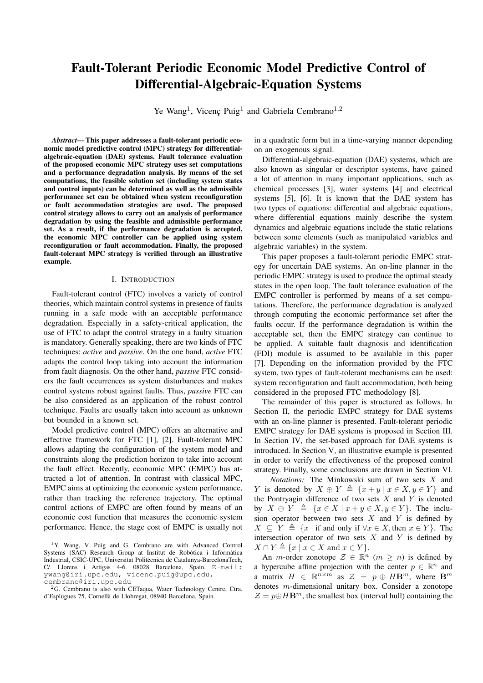# Fault-Tolerant Periodic Economic Model Predictive Control of Differential-Algebraic-Equation Systems

Ye Wang<sup>1</sup>, Vicenç Puig<sup>1</sup> and Gabriela Cembrano<sup>1,2</sup>

*Abstract*— This paper addresses a fault-tolerant periodic economic model predictive control (MPC) strategy for differentialalgebraic-equation (DAE) systems. Fault tolerance evaluation of the proposed economic MPC strategy uses set computations and a performance degradation analysis. By means of the set computations, the feasible solution set (including system states and control inputs) can be determined as well as the admissible performance set can be obtained when system reconfiguration or fault accommodation strategies are used. The proposed control strategy allows to carry out an analysis of performance degradation by using the feasible and admissible performance set. As a result, if the performance degradation is accepted, the economic MPC controller can be applied using system reconfiguration or fault accommodation. Finally, the proposed fault-tolerant MPC strategy is verified through an illustrative example.

## I. INTRODUCTION

Fault-tolerant control (FTC) involves a variety of control theories, which maintain control systems in presence of faults running in a safe mode with an acceptable performance degradation. Especially in a safety-critical application, the use of FTC to adapt the control strategy in a faulty situation is mandatory. Generally speaking, there are two kinds of FTC techniques: *active* and *passive*. On the one hand, *active* FTC adapts the control loop taking into account the information from fault diagnosis. On the other hand, *passive* FTC considers the fault occurrences as system disturbances and makes control systems robust against faults. Thus, *passive* FTC can be also considered as an application of the robust control technique. Faults are usually taken into account as unknown but bounded in a known set.

Model predictive control (MPC) offers an alternative and effective framework for FTC [1], [2]. Fault-tolerant MPC allows adapting the configuration of the system model and constraints along the prediction horizon to take into account the fault effect. Recently, economic MPC (EMPC) has attracted a lot of attention. In contrast with classical MPC, EMPC aims at optimizing the economic system performance, rather than tracking the reference trajectory. The optimal control actions of EMPC are often found by means of an economic cost function that measures the economic system performance. Hence, the stage cost of EMPC is usually not

in a quadratic form but in a time-varying manner depending on an exogenous signal.

Differential-algebraic-equation (DAE) systems, which are also known as singular or descriptor systems, have gained a lot of attention in many important applications, such as chemical processes [3], water systems [4] and electrical systems [5], [6]. It is known that the DAE system has two types of equations: differential and algebraic equations, where differential equations mainly describe the system dynamics and algebraic equations include the static relations between some elements (such as manipulated variables and algebraic variables) in the system.

This paper proposes a fault-tolerant periodic EMPC strategy for uncertain DAE systems. An on-line planner in the periodic EMPC strategy is used to produce the optimal steady states in the open loop. The fault tolerance evaluation of the EMPC controller is performed by means of a set computations. Therefore, the performance degradation is analyzed through computing the economic performance set after the faults occur. If the performance degradation is within the acceptable set, then the EMPC strategy can continue to be applied. A suitable fault diagnosis and identification (FDI) module is assumed to be available in this paper [7]. Depending on the information provided by the FTC system, two types of fault-tolerant mechanisms can be used: system reconfiguration and fault accommodation, both being considered in the proposed FTC methodology [8].

The remainder of this paper is structured as follows. In Section II, the periodic EMPC strategy for DAE systems with an on-line planner is presented. Fault-tolerant periodic EMPC strategy for DAE systems is proposed in Section III. In Section IV, the set-based approach for DAE systems is introduced. In Section V, an illustrative example is presented in order to verify the effectiveness of the proposed control strategy. Finally, some conclusions are drawn in Section VI.

*Notations:* The Minkowski sum of two sets X and Y is denoted by  $X \oplus Y \triangleq \{x + y \mid x \in X, y \in Y\}$  and the Pontryagin difference of two sets  $X$  and  $Y$  is denoted by  $X \oplus Y \triangleq \{x \in X \mid x + y \in X, y \in Y\}$ . The inclusion operator between two sets  $X$  and  $Y$  is defined by  $X \subseteq Y \triangleq \{x \mid \text{if and only if } \forall x \in X, \text{ then } x \in Y\}.$  The intersection operator of two sets  $X$  and  $Y$  is defined by  $X \cap Y \triangleq \{x \mid x \in X \text{ and } x \in Y\}.$ 

An *m*-order zonotope  $\mathcal{Z} \in \mathbb{R}^n$   $(m \geq n)$  is defined by a hypercube affine projection with the center  $p \in \mathbb{R}^n$  and a matrix  $H \in \mathbb{R}^{n \times m}$  as  $\mathcal{Z} = p \oplus H\mathbf{B}^m$ , where  $\mathbf{B}^m$ denotes m-dimensional unitary box. Consider a zonotope  $\mathcal{Z} = p \oplus H\mathbf{B}^m$ , the smallest box (interval hull) containing the

<sup>1</sup>Y. Wang, V. Puig and G. Cembrano are with Advanced Control Systems (SAC) Research Group at Institut de Robòtica i Informàtica Industrial, CSIC-UPC, Universitat Politècnica de Catalunya-BarcelonaTech, C/. Llorens i Artigas 4-6. 08028 Barcelona, Spain. E-mail: ywang@iri.upc.edu, vicenc.puig@upc.edu, cembrano@iri.upc.edu

<sup>&</sup>lt;sup>2</sup>G. Cembrano is also with CETaqua, Water Technology Centre, Ctra. d'Esplugues 75, Cornella de Llobregat, 08940 Barcelona, Spain. `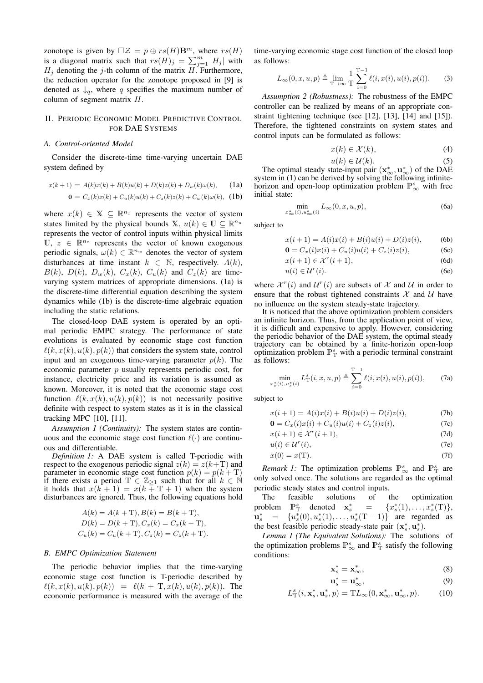zonotope is given by  $\Box Z = p \oplus rs(H) \mathbf{B}^m$ , where  $rs(H)$ is a diagonal matrix such that  $rs(H)_j = \sum_{j=1}^m |H_j|$  with  $H_i$  denoting the j-th column of the matrix H. Furthermore, the reduction operator for the zonotope proposed in [9] is denoted as  $\downarrow_q$ , where q specifies the maximum number of column of segment matrix H.

# II. PERIODIC ECONOMIC MODEL PREDICTIVE CONTROL FOR DAE SYSTEMS

### *A. Control-oriented Model*

Consider the discrete-time time-varying uncertain DAE system defined by

$$
x(k+1) = A(k)x(k) + B(k)u(k) + D(k)z(k) + D_w(k)\omega(k),
$$
 (1a)  

$$
0 = C_x(k)x(k) + C_u(k)u(k) + C_z(k)z(k) + C_w(k)\omega(k),
$$
 (1b)

where  $x(k) \in X \subseteq \mathbb{R}^{n_x}$  represents the vector of system states limited by the physical bounds X,  $u(k) \in U \subseteq \mathbb{R}^{n_u}$ represents the vector of control inputs within physical limits  $\mathbb{U}, z \in \mathbb{R}^{n_z}$  represents the vector of known exogenous periodic signals,  $\omega(k) \in \mathbb{R}^{n_w}$  denotes the vector of system disturbances at time instant  $k \in \mathbb{N}$ , respectively.  $A(k)$ ,  $B(k)$ ,  $D(k)$ ,  $D_w(k)$ ,  $C_x(k)$ ,  $C_u(k)$  and  $C_z(k)$  are timevarying system matrices of appropriate dimensions. (1a) is the discrete-time differential equation describing the system dynamics while (1b) is the discrete-time algebraic equation including the static relations.

The closed-loop DAE system is operated by an optimal periodic EMPC strategy. The performance of state evolutions is evaluated by economic stage cost function  $\ell(k, x(k), u(k), p(k))$  that considers the system state, control input and an exogenous time-varying parameter  $p(k)$ . The economic parameter  $p$  usually represents periodic cost, for instance, electricity price and its variation is assumed as known. Moreover, it is noted that the economic stage cost function  $\ell(k, x(k), u(k), p(k))$  is not necessarily positive definite with respect to system states as it is in the classical tracking MPC [10], [11].

*Assumption 1 (Continuity):* The system states are continuous and the economic stage cost function  $\ell(\cdot)$  are continuous and differentiable.

*Definition 1:* A DAE system is called T-periodic with respect to the exogenous periodic signal  $z(k) = z(k+T)$  and parameter in economic stage cost function  $p(k) = p(k+T)$  if there exists a period  $T \in \mathbb{Z}_{\geq 1}$  such that for all  $k \in \mathbb{N}$  it holds that  $x(k+1) = x(k+T+1)$  when the system disturbances are ignored. Thus, the following equations hold

$$
A(k) = A(k + T), B(k) = B(k + T),
$$
  
\n
$$
D(k) = D(k + T), C_x(k) = C_x(k + T),
$$
  
\n
$$
C_u(k) = C_u(k + T), C_z(k) = C_z(k + T).
$$

#### *B. EMPC Optimization Statement*

The periodic behavior implies that the time-varying economic stage cost function is T-periodic described by  $\ell(k, x(k), u(k), p(k)) = \ell(k + \text{T}, x(k), u(k), p(k)).$  The economic performance is measured with the average of the

time-varying economic stage cost function of the closed loop as follows:

$$
L_{\infty}(0, x, u, p) \triangleq \lim_{T \to \infty} \frac{1}{T} \sum_{i=0}^{T-1} \ell(i, x(i), u(i), p(i)).
$$
 (3)

*Assumption 2 (Robustness):* The robustness of the EMPC controller can be realized by means of an appropriate constraint tightening technique (see [12], [13], [14] and [15]). Therefore, the tightened constraints on system states and control inputs can be formulated as follows:

$$
x(k) \in \mathcal{X}(k),\tag{4}
$$

$$
u(k) \in \mathcal{U}(k). \tag{5}
$$

 $u(k) \in \mathcal{U}(k)$ . (5)<br>The optimal steady state-input pair  $(\mathbf{x}^*_{\infty}, \mathbf{u}^*_{\infty})$  of the DAE system in (1) can be derived by solving the following infinitehorizon and open-loop optimization problem  $\mathbb{P}^s_\infty$  with free initial state:

$$
\min_{x_{\infty}^*(i), u_{\infty}^*(i)} L_{\infty}(0, x, u, p),
$$
\n(6a)

subject to

$$
x(i + 1) = A(i)x(i) + B(i)u(i) + D(i)z(i),
$$
 (6b)

$$
\mathbf{0} = C_x(i)x(i) + C_u(i)u(i) + C_z(i)z(i),
$$
 (6c)

$$
x(i+1) \in \mathcal{X}^r(i+1),\tag{6d}
$$

$$
u(i) \in \mathcal{U}^r(i). \tag{6e}
$$

where  $\mathcal{X}^r(i)$  and  $\mathcal{U}^r(i)$  are subsets of  $\mathcal X$  and  $\mathcal U$  in order to ensure that the robust tightened constraints  $\mathcal X$  and  $\mathcal U$  have no influence on the system steady-state trajectory.

It is noticed that the above optimization problem considers an infinite horizon. Thus, from the application point of view, it is difficult and expensive to apply. However, considering the periodic behavior of the DAE system, the optimal steady trajectory can be obtained by a finite-horizon open-loop optimization problem  $\mathbb{P}^s$  with a periodic terminal constraint as follows:

$$
\min_{x_s^*(i), u_s^*(i)} L_{\mathcal{T}}^s(i, x, u, p) \triangleq \sum_{i=0}^{\mathcal{T}-1} \ell(i, x(i), u(i), p(i)), \tag{7a}
$$

subject to

$$
x(i + 1) = A(i)x(i) + B(i)u(i) + D(i)z(i),
$$
 (7b)

$$
\mathbf{0} = C_x(i)x(i) + C_u(i)u(i) + C_z(i)z(i),\tag{7c}
$$

$$
x(i+1) \in \mathcal{X}^r(i+1),\tag{7d}
$$

$$
u(i) \in \mathcal{U}^r(i),\tag{7e}
$$

$$
x(0) = x(T). \tag{7f}
$$

*Remark 1:* The optimization problems  $\mathbb{P}^s_\infty$  and  $\mathbb{P}^s_\mathbb{T}$  are only solved once. The solutions are regarded as the optimal periodic steady states and control inputs.

The feasible solutions of the optimization problem  $\mathbb{P}^s$  denoted  $\mathbf{x}_s^* = \{x_s^*(1), \ldots, x_s^*(T)\},$  $\mathbf{u}_s^* = \{u_s^*(0), u_s^*(1), \dots, u_s^*(T-1)\}$  are regarded as the best feasible periodic steady-state pair  $(\mathbf{x}_s^*, \mathbf{u}_s^*)$ .

*Lemma 1 (The Equivalent Solutions):* The solutions of the optimization problems  $\mathbb{P}_{\infty}^{s}$  and  $\mathbb{P}_{\mathrm{T}}^{s}$  satisfy the following conditions:

$$
\mathbf{x}_s^* = \mathbf{x}_\infty^*,\tag{8}
$$

$$
\mathbf{u}_s^* = \mathbf{u}_\infty^*,\tag{9}
$$

$$
L^s_\mathcal{T}(i, \mathbf{x}_s^*, \mathbf{u}_s^*, p) = \mathcal{T}L_\infty(0, \mathbf{x}_\infty^*, \mathbf{u}_\infty^*, p). \tag{10}
$$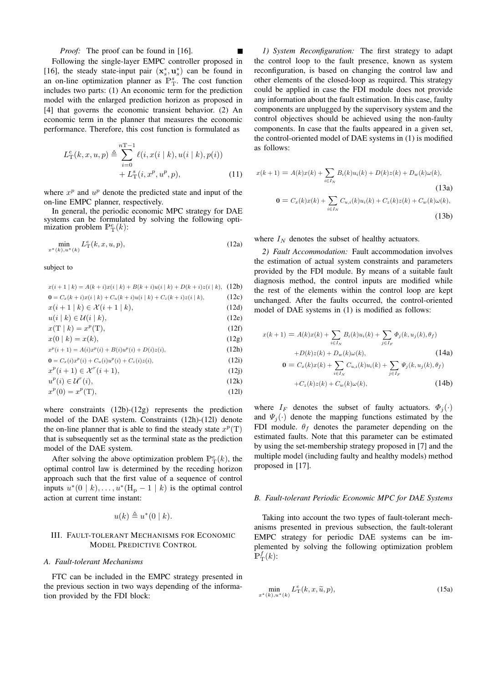# *Proof:* The proof can be found in [16].

Following the single-layer EMPC controller proposed in [16], the steady state-input pair  $(x_s^*, u_s^*)$  can be found in an on-line optimization planner as  $\mathbb{P}^s_T$ . The cost function includes two parts: (1) An economic term for the prediction model with the enlarged prediction horizon as proposed in [4] that governs the economic transient behavior. (2) An economic term in the planner that measures the economic performance. Therefore, this cost function is formulated as

$$
L_{\mathcal{T}}^{e}(k, x, u, p) \triangleq \sum_{i=0}^{n\mathcal{T}-1} \ell(i, x(i \mid k), u(i \mid k), p(i)) + L_{\mathcal{T}}^{s}(i, x^{p}, u^{p}, p),
$$
 (11)

where  $x^p$  and  $u^p$  denote the predicted state and input of the on-line EMPC planner, respectively.

In general, the periodic economic MPC strategy for DAE systems can be formulated by solving the following optimization problem  $\mathbb{P}^e_{\mathbb{T}}(k)$ :

$$
\min_{x^*(k), u^*(k)} L_{\mathcal{T}}^e(k, x, u, p),
$$
\n(12a)

subject to

| $x(i+1   k) = A(k+i)x(i   k) + B(k+i)u(i   k) + D(k+i)z(i   k),$ (12b) |       |
|------------------------------------------------------------------------|-------|
| $\mathbf{0} = C_x(k+i)x(i k) + C_u(k+i)u(i k) + C_z(k+i)z(i k),$       | (12c) |
| $x(i+1   k) \in \mathcal{X}(i+1   k),$                                 | (12d) |
| $u(i \mid k) \in \mathcal{U}(i \mid k),$                               | (12e) |
| $x(T   k) = x^p(T),$                                                   | (12f) |
| $x(0   k) = x(k),$                                                     | (12g) |
| $x^p(i+1) = A(i)x^p(i) + B(i)u^p(i) + D(i)z(i),$                       | (12h) |
| $\mathbf{0} = C_x(i)x^p(i) + C_u(i)u^p(i) + C_z(i)z(i),$               | (12i) |
| $x^p(i+1) \in \mathcal{X}^r(i+1),$                                     | (12i) |
| $u^p(i) \in \mathcal{U}^r(i)$ ,                                        | (12k) |
| $x^p(0) = x^p(T),$                                                     | (121) |

where constraints (12b)-(12g) represents the prediction model of the DAE system. Constraints (12h)-(12l) denote the on-line planner that is able to find the steady state  $x^p(T)$ that is subsequently set as the terminal state as the prediction model of the DAE system.

After solving the above optimization problem  $\mathbb{P}^e_{\mathrm{T}}(k)$ , the optimal control law is determined by the receding horizon approach such that the first value of a sequence of control inputs  $u^*(0 | k), \ldots, u^*(H_p-1 | k)$  is the optimal control action at current time instant:

$$
u(k) \triangleq u^*(0 \mid k).
$$

# III. FAULT-TOLERANT MECHANISMS FOR ECONOMIC MODEL PREDICTIVE CONTROL

# *A. Fault-tolerant Mechanisms*

FTC can be included in the EMPC strategy presented in the previous section in two ways depending of the information provided by the FDI block:

*1) System Reconfiguration:* The first strategy to adapt the control loop to the fault presence, known as system reconfiguration, is based on changing the control law and other elements of the closed-loop as required. This strategy could be applied in case the FDI module does not provide any information about the fault estimation. In this case, faulty components are unplugged by the supervisory system and the control objectives should be achieved using the non-faulty components. In case that the faults appeared in a given set, the control-oriented model of DAE systems in (1) is modified as follows:

$$
x(k+1) = A(k)x(k) + \sum_{i \in I_N} B_i(k)u_i(k) + D(k)z(k) + D_w(k)\omega(k),
$$
\n(13a)\n
$$
0 = C_x(k)x(k) + \sum_{i \in I_N} C_{u,i}(k)u_i(k) + C_z(k)z(k) + C_w(k)\omega(k),
$$
\n(13b)

where  $I_N$  denotes the subset of healthy actuators.

*2) Fault Accommodation:* Fault accommodation involves the estimation of actual system constraints and parameters provided by the FDI module. By means of a suitable fault diagnosis method, the control inputs are modified while the rest of the elements within the control loop are kept unchanged. After the faults occurred, the control-oriented model of DAE systems in (1) is modified as follows:

$$
x(k+1) = A(k)x(k) + \sum_{i \in I_N} B_i(k)u_i(k) + \sum_{j \in I_F} \Phi_j(k, u_j(k), \theta_f)
$$
  
+
$$
D(k)z(k) + D_w(k)\omega(k),
$$
 (14a)  

$$
0 = C_x(k)x(k) + \sum_{i \in I} C_{u,i}(k)u_i(k) + \sum_{i \in I} \Psi_j(k, u_j(k), \theta_f)
$$

$$
+C_z(k)z(k) + C_w(k)\omega(k),
$$
\n(14b)

where  $I_F$  denotes the subset of faulty actuators.  $\Phi_i(\cdot)$ and  $\Psi_i(\cdot)$  denote the mapping functions estimated by the FDI module.  $\theta_f$  denotes the parameter depending on the estimated faults. Note that this parameter can be estimated by using the set-membership strategy proposed in [7] and the multiple model (including faulty and healthy models) method proposed in [17].

## *B. Fault-tolerant Periodic Economic MPC for DAE Systems*

Taking into account the two types of fault-tolerant mechanisms presented in previous subsection, the fault-tolerant EMPC strategy for periodic DAE systems can be implemented by solving the following optimization problem  $\mathbb{P}^{f}_{\mathrm{T}}(k)$ :

$$
\min_{x^*(k), u^*(k)} L_{\mathcal{T}}^e(k, x, \widetilde{u}, p),\tag{15a}
$$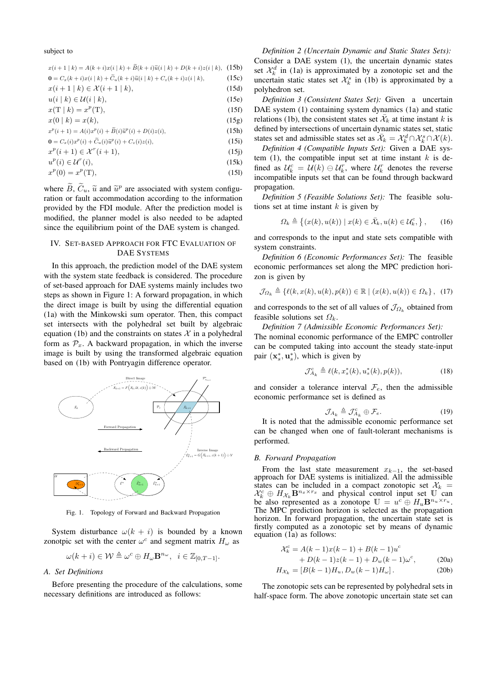#### subject to

| $x(i+1   k) = A(k+i)x(i   k) + B(k+i)\tilde{u}(i   k) + D(k+i)z(i   k),$               | (15b) |
|----------------------------------------------------------------------------------------|-------|
| <b>0</b> = $C_x(k+i)x(i k) + \widetilde{C}_u(k+i)\widetilde{u}(i k) + C_z(k+i)z(i k),$ | (15c) |
| $x(i+1   k) \in \mathcal{X}(i+1   k),$                                                 | (15d) |
| $u(i \mid k) \in \mathcal{U}(i \mid k),$                                               | (15e) |
| $x(T   k) = x^p(T),$                                                                   | (15f) |
| $x(0   k) = x(k),$                                                                     | (15g) |
| $x^{p}(i + 1) = A(i)x^{p}(i) + \widetilde{B}(i)\widetilde{u}^{p}(i) + D(i)z(i),$       | (15h) |
| $\mathbf{0} = C_x(i)x^p(i) + \widetilde{C}_u(i)\widetilde{u}^p(i) + C_z(i)z(i),$       | (15i) |
| $x^p(i+1) \in \mathcal{X}^r(i+1),$                                                     | (15i) |
| $u^p(i) \in \mathcal{U}^r(i),$                                                         | (15k) |
|                                                                                        |       |

$$
x^{p}(0) = x^{p}(T),
$$
\n(15)

where  $\overline{B}$ ,  $\overline{C}_u$ ,  $\widetilde{u}$  and  $\widetilde{u}^p$  are associated with system configuration as fully accounted discussed in the information ration or fault accommodation according to the information provided by the FDI module. After the prediction model is modified, the planner model is also needed to be adapted since the equilibrium point of the DAE system is changed.

# IV. SET-BASED APPROACH FOR FTC EVALUATION OF DAE SYSTEMS

In this approach, the prediction model of the DAE system with the system state feedback is considered. The procedure of set-based approach for DAE systems mainly includes two steps as shown in Figure 1: A forward propagation, in which the direct image is built by using the differential equation (1a) with the Minkowski sum operator. Then, this compact set intersects with the polyhedral set built by algebraic equation (1b) and the constraints on states  $\mathcal X$  in a polyhedral form as  $\mathcal{P}_x$ . A backward propagation, in which the inverse image is built by using the transformed algebraic equation based on (1b) with Pontryagin difference operator.



Fig. 1. Topology of Forward and Backward Propagation

System disturbance  $\omega(k + i)$  is bounded by a known zonotpic set with the center  $\omega^c$  and segment matrix  $H_{\omega}$  as

$$
\omega(k+i)\in \mathcal{W} \triangleq \omega^c \oplus H_\omega \mathbf{B}^{n_\omega}, \ \ i\in \mathbb{Z}_{[0,T-1]}.
$$

# *A. Set Definitions*

Before presenting the procedure of the calculations, some necessary definitions are introduced as follows:

*Definition 2 (Uncertain Dynamic and Static States Sets):* Consider a DAE system (1), the uncertain dynamic states set  $\mathcal{X}_k^d$  in (1a) is approximated by a zonotopic set and the uncertain static states set  $\mathcal{X}_k^s$  in (1b) is approximated by a polyhedron set.

*Definition 3 (Consistent States Set):* Given a uncertain DAE system (1) containing system dynamics (1a) and static relations (1b), the consistent states set  $\bar{\mathcal{X}}_k$  at time instant k is defined by intersections of uncertain dynamic states set, static states set and admissible states set as  $\overline{\mathcal{X}}_k = \mathcal{X}_k^d \cap \mathcal{X}_k^s \cap \mathcal{X}(k)$ .

*Definition 4 (Compatible Inputs Set):* Given a DAE system  $(1)$ , the compatible input set at time instant  $k$  is defined as  $\mathcal{U}_k^c = \mathcal{U}(k) \ominus \mathcal{U}_k^r$ , where  $\mathcal{U}_k^r$  denotes the reverse incompatible inputs set that can be found through backward propagation.

*Definition 5 (Feasible Solutions Set):* The feasible solutions set at time instant  $k$  is given by

$$
\Omega_k \triangleq \left\{ (x(k), u(k)) \mid x(k) \in \bar{\mathcal{X}}_k, u(k) \in \mathcal{U}_k^c, \right\},\tag{16}
$$

and corresponds to the input and state sets compatible with system constraints.

*Definition 6 (Economic Performances Set):* The feasible economic performances set along the MPC prediction horizon is given by

$$
\mathcal{J}_{\Omega_k} \triangleq \{ \ell(k, x(k), u(k), p(k)) \in \mathbb{R} \mid (x(k), u(k)) \in \Omega_k \}, \quad (17)
$$

and corresponds to the set of all values of  $\mathcal{J}_{\Omega_k}$  obtained from feasible solutions set  $\Omega_k$ .

*Definition 7 (Admissible Economic Performances Set):*

The nominal economic performance of the EMPC controller can be computed taking into account the steady state-input pair  $(\mathbf{x}_s^*, \mathbf{u}_s^*)$ , which is given by

$$
\mathcal{J}_{A_k}^c \triangleq \ell(k, x_s^*(k), u_s^*(k), p(k)),\tag{18}
$$

and consider a tolerance interval  $\mathcal{F}_e$ , then the admissible economic performance set is defined as

$$
\mathcal{J}_{A_k} \triangleq \mathcal{J}_{A_k}^c \oplus \mathcal{F}_e. \tag{19}
$$

It is noted that the admissible economic performance set can be changed when one of fault-tolerant mechanisms is performed.

# *B. Forward Propagation*

From the last state measurement  $x_{k-1}$ , the set-based approach for DAE systems is initialized. All the admissible states can be included in a compact zonotopic set  $\mathcal{X}_k =$  $\mathcal{X}_k^c \oplus H_{\mathcal{X}_k} \mathbf{B}^{n_x \times r_x}$  and physical control input set U can<br>be also represented as a zonotope  $\mathbb{U} = u^c \oplus H_u \mathbf{B}^{n_u \times r_u}$ . The MPC prediction horizon is selected as the propagation horizon. In forward propagation, the uncertain state set is firstly computed as a zonotopic set by means of dynamic equation (1a) as follows:

$$
\mathcal{X}_k^c = A(k-1)x(k-1) + B(k-1)u^c + D(k-1)z(k-1) + D_w(k-1)\omega^c,
$$
 (20a)

$$
H_{\mathcal{X}_k} = [B(k-1)H_u, D_w(k-1)H_w].
$$
 (20b)

The zonotopic sets can be represented by polyhedral sets in half-space form. The above zonotopic uncertain state set can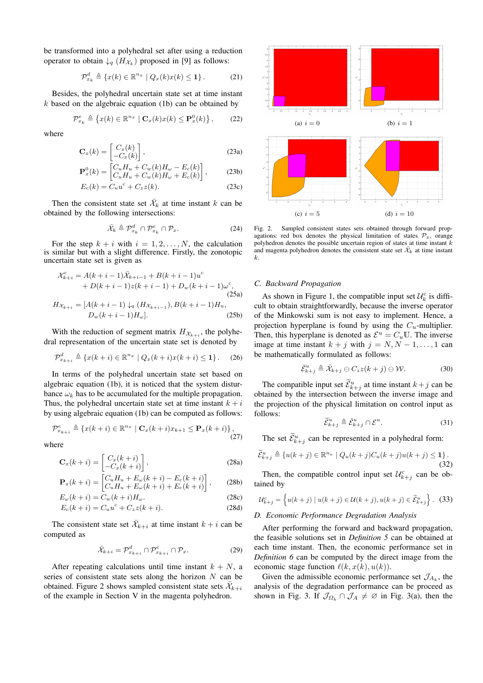be transformed into a polyhedral set after using a reduction operator to obtain  $\downarrow_q$   $(H_{\mathcal{X}_k})$  proposed in [9] as follows:

$$
\mathcal{P}_{x_k}^d \triangleq \{x(k) \in \mathbb{R}^{n_x} \mid Q_x(k)x(k) \le 1\}.
$$
 (21)

Besides, the polyhedral uncertain state set at time instant  $k$  based on the algebraic equation (1b) can be obtained by

$$
\mathcal{P}_{x_k}^e \triangleq \left\{ x(k) \in \mathbb{R}^{n_x} \mid \mathbf{C}_x(k) x(k) \le \mathbf{P}_x^0(k) \right\},\qquad(22)
$$

where

$$
\mathbf{C}_x(k) = \begin{bmatrix} C_x(k) \\ -C_x(k) \end{bmatrix},
$$
\n(23a)

$$
\mathbf{P}_x^0(k) = \begin{bmatrix} C_u H_u + C_w(k) H_\omega - E_c(k) \\ C_u H_u + C_w(k) H_\omega + E_c(k) \end{bmatrix},\tag{23b}
$$

$$
E_c(k) = C_u u^c + C_z z(k). \tag{23c}
$$

Then the consistent state set  $\bar{\mathcal{X}}_k$  at time instant k can be obtained by the following intersections:

$$
\bar{\mathcal{X}}_k \triangleq \mathcal{P}_{x_k}^d \cap \mathcal{P}_{x_k}^e \cap \mathcal{P}_x. \tag{24}
$$

For the step  $k + i$  with  $i = 1, 2, ..., N$ , the calculation is similar but with a slight difference. Firstly, the zonotopic uncertain state set is given as

$$
\mathcal{X}_{k+i}^{c} = A(k+i-1)\bar{\mathcal{X}}_{k+i-1} + B(k+i-1)u^{c}
$$
  
+ D(k+i-1)z(k+i-1) + D<sub>w</sub>(k+i-1)\omega^{c}, (25a)  

$$
H_{\mathcal{X}_{k+i}} = [A(k+i-1) \downarrow_{q} (H_{\mathcal{X}_{k+i-1}}), B(k+i-1)H_{u}, (25b)
$$

With the reduction of segment matrix  $H_{\mathcal{X}_{k+i}}$ , the polyhedral representation of the uncertain state set is denoted by

$$
\mathcal{P}_{x_{k+i}}^d \triangleq \{x(k+i) \in \mathbb{R}^{n_x} \mid Q_x(k+i)x(k+i) \le 1\}.
$$
 (26)

In terms of the polyhedral uncertain state set based on algebraic equation (1b), it is noticed that the system disturbance  $\omega_k$  has to be accumulated for the multiple propagation. Thus, the polyhedral uncertain state set at time instant  $k + i$ by using algebraic equation (1b) can be computed as follows:

$$
\mathcal{P}_{x_{k+i}}^e \triangleq \left\{ x(k+i) \in \mathbb{R}^{n_x} \mid \mathbf{C}_x(k+i)x_{k+1} \le \mathbf{P}_x(k+i) \right\},\tag{27}
$$

where

$$
\mathbf{C}_x(k+i) = \begin{bmatrix} C_x(k+i) \\ -C_x(k+i) \end{bmatrix},
$$
\n(28a)

$$
\mathbf{P}_x(k+i) = \begin{bmatrix} C_u H_u + E_\omega(k+i) - E_c(k+i) \\ C_u H_u + E_\omega(k+i) + E_c(k+i) \end{bmatrix},\tag{28b}
$$

$$
E_{\omega}(k+i) = C_w(k+i)H_{\omega}.
$$
 (28c)

$$
E_c(k+i) = C_u u^c + C_z z(k+i).
$$
 (28d)

The consistent state set  $\bar{\mathcal{X}}_{k+i}$  at time instant  $k + i$  can be computed as

$$
\bar{\mathcal{X}}_{k+i} = \mathcal{P}^d_{x_{k+i}} \cap \mathcal{P}^e_{x_{k+i}} \cap \mathcal{P}_x.
$$
 (29)

After repeating calculations until time instant  $k + N$ , a series of consistent state sets along the horizon  $N$  can be obtained. Figure 2 shows sampled consistent state sets  $\bar{\mathcal{X}}_{k+i}$ of the example in Section V in the magenta polyhedron.



Fig. 2. Sampled consistent states sets obtained through forward propagations: red box denotes the physical limitation of states  $\mathcal{P}_x$ , orange polyhedron denotes the possible uncertain region of states at time instant k and magenta polyhedron denotes the consistent state set  $\bar{\mathcal{X}}_k$  at time instant k.

## *C. Backward Propagation*

As shown in Figure 1, the compatible input set  $\mathcal{U}_k^c$  is difficult to obtain straightforwardly, because the inverse operator of the Minkowski sum is not easy to implement. Hence, a projection hyperplane is found by using the  $C_u$ -multiplier. Then, this hyperplane is denoted as  $\mathcal{E}^u = C_u \mathbb{U}$ . The inverse image at time instant  $k + j$  with  $j = N, N - 1, \ldots, 1$  can be mathematically formulated as follows:

$$
\bar{\mathcal{E}}_{k+j}^u \triangleq \bar{\mathcal{X}}_{k+j} \ominus C_z z(k+j) \ominus \mathcal{W}.
$$
 (30)

The compatible input set  $\mathcal{E}_{k+j}^u$  at time instant  $k+j$  can be obtained by the intersection between the inverse image and the projection of the physical limitation on control input as follows:

$$
\widetilde{\mathcal{E}}_{k+j}^u \triangleq \bar{\mathcal{E}}_{k+j}^u \cap \mathcal{E}^u. \tag{31}
$$

The set  $\mathcal{E}_{k+j}^u$  can be represented in a polyhedral form:

$$
\widetilde{\mathcal{E}}_{k+j}^{u} \triangleq \{u(k+j) \in \mathbb{R}^{n_u} \mid Q_u(k+j)C_u(k+j)u(k+j) \le 1\}.
$$
\n(32)

Then, the compatible control input set  $\mathcal{U}_{k+j}^c$  can be obtained by

$$
\mathcal{U}_{k+j}^c = \left\{ u(k+j) \mid u(k+j) \in \mathcal{U}(k+j), u(k+j) \in \widetilde{\mathcal{E}}_{k+j}^u \right\}.
$$
 (33)

# *D. Economic Performance Degradation Analysis*

After performing the forward and backward propagation, the feasible solutions set in *Definition 5* can be obtained at each time instant. Then, the economic performance set in *Definition 6* can be computed by the direct image from the economic stage function  $\ell(k, x(k), u(k))$ .

Given the admissible economic performance set  $\mathcal{J}_{A_k}$ , the analysis of the degradation performance can be proceed as shown in Fig. 3. If  $\mathcal{J}_{\Omega_k} \cap \mathcal{J}_A \neq \emptyset$  in Fig. 3(a), then the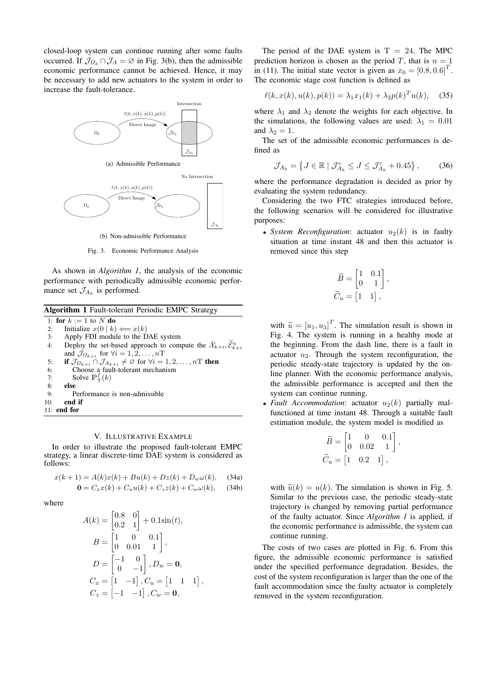closed-loop system can continue running after some faults occurred. If  $\mathcal{J}_{\Omega_k} \cap \mathcal{J}_A = \emptyset$  in Fig. 3(b), then the admissible economic performance cannot be achieved. Hence, it may be necessary to add new actuators to the system in order to increase the fault-tolerance.





Fig. 3. Economic Performance Analysis

As shown in *Algorithm 1*, the analysis of the economic performance with periodically admissible economic performance set  $\mathcal{J}_{A_k}$  is performed.

| Algorithm 1 Fault-tolerant Periodic EMPC Strategy |                                                                                                            |  |
|---------------------------------------------------|------------------------------------------------------------------------------------------------------------|--|
|                                                   | 1: for $k := 1$ to N do                                                                                    |  |
| 2:                                                | Initialize $x(0   k) \Longleftarrow x(k)$                                                                  |  |
| 3:                                                | Apply FDI module to the DAE system                                                                         |  |
| 4:                                                | Deploy the set-based approach to compute the $\bar{\mathcal{X}}_{k+i}, \bar{\mathcal{E}}_{k+i}^u$          |  |
|                                                   | and $\mathcal{J}_{\Omega_{k+i}}$ for $\forall i = 1, 2, , n$ T                                             |  |
| 5:                                                | if $\mathcal{J}_{\Omega_{k+i}} \cap \mathcal{J}_{A_{k+i}} \neq \emptyset$ for $\forall i = 1, 2, , n$ then |  |
| 6:                                                | Choose a fault-tolerant mechanism                                                                          |  |
| 7:                                                | Solve $\mathbb{P}^f_{\mathcal{T}}(k)$                                                                      |  |
| 8:                                                | else                                                                                                       |  |
| 9:                                                | Performance is non-admissible                                                                              |  |
| 10:                                               | end if                                                                                                     |  |
|                                                   | $11:$ end for                                                                                              |  |

#### V. ILLUSTRATIVE EXAMPLE

In order to illustrate the proposed fault-tolerant EMPC strategy, a linear discrete-time DAE system is considered as follows:

$$
x(k+1) = A(k)x(k) + Bu(k) + Dz(k) + D_w\omega(k),
$$
 (34a)  

$$
0 = C_x x(k) + C_u u(k) + C_z z(k) + C_w \omega(k),
$$
 (34b)

where

$$
A(k) = \begin{bmatrix} 0.8 & 0 \\ 0.2 & 1 \end{bmatrix} + 0.1\sin(t),
$$
  
\n
$$
B = \begin{bmatrix} 1 & 0 & 0.1 \\ 0 & 0.01 & 1 \end{bmatrix},
$$
  
\n
$$
D = \begin{bmatrix} -1 & 0 \\ 0 & -1 \end{bmatrix}, D_w = \mathbf{0},
$$
  
\n
$$
C_x = \begin{bmatrix} 1 & -1 \end{bmatrix}, C_u = \begin{bmatrix} 1 & 1 & 1 \end{bmatrix},
$$
  
\n
$$
C_z = \begin{bmatrix} -1 & -1 \end{bmatrix}, C_w = \mathbf{0},
$$

The period of the DAE system is  $T = 24$ . The MPC prediction horizon is chosen as the period T, that is  $n = 1$ in (11). The initial state vector is given as  $x_0 = [0.8, 0.6]^T$ . The economic stage cost function is defined as

$$
\ell(k, x(k), u(k), p(k)) = \lambda_1 x_1(k) + \lambda_2 p(k)^T u(k), \quad (35)
$$

where  $\lambda_1$  and  $\lambda_2$  denote the weights for each objective. In the simulations, the following values are used:  $\lambda_1 = 0.01$ and  $\lambda_2 = 1$ .

The set of the admissible economic performances is defined as

$$
\mathcal{J}_{A_k} = \left\{ J \in \mathbb{R} \mid \mathcal{J}_{A_k}^c \le J \le \mathcal{J}_{A_k}^c + 0.45 \right\},\tag{36}
$$

where the performance degradation is decided as prior by evaluating the system redundancy.

Considering the two FTC strategies introduced before, the following scenarios will be considered for illustrative purposes:

• *System Reconfiguration*: actuator  $u_2(k)$  is in faulty situation at time instant 48 and then this actuator is removed since this step

$$
\widetilde{B} = \begin{bmatrix} 1 & 0.1 \\ 0 & 1 \end{bmatrix},
$$

$$
\widetilde{C}_u = \begin{bmatrix} 1 & 1 \end{bmatrix},
$$

with  $\widetilde{u} = [u_1, u_3]^T$ . The simulation result is shown in Fig. 4. The system is running in a healthy mode at the beginning. From the dash line, there is a fault in actuator  $u_2$ . Through the system reconfiguration, the periodic steady-state trajectory is updated by the online planner. With the economic performance analysis, the admissible performance is accepted and then the system can continue running.

• *Fault Accommodation*: actuator  $u_2(k)$  partially malfunctioned at time instant 48. Through a suitable fault estimation module, the system model is modified as

$$
\begin{aligned} \widetilde{B} &= \begin{bmatrix} 1 & 0 & 0.1 \\ 0 & 0.02 & 1 \end{bmatrix}, \\ \widetilde{C}_u &= \begin{bmatrix} 1 & 0.2 & 1 \end{bmatrix}, \end{aligned}
$$

with  $\tilde{u}(k) = u(k)$ . The simulation is shown in Fig. 5. Similar to the previous case, the periodic steady-state trajectory is changed by removing partial performance of the faulty actuator. Since *Algorithm 1* is applied, if the economic performance is admissible, the system can continue running.

The costs of two cases are plotted in Fig. 6. From this figure, the admissible economic performance is satisfied under the specified performance degradation. Besides, the cost of the system reconfiguration is larger than the one of the fault accommodation since the faulty actuator is completely removed in the system reconfiguration.